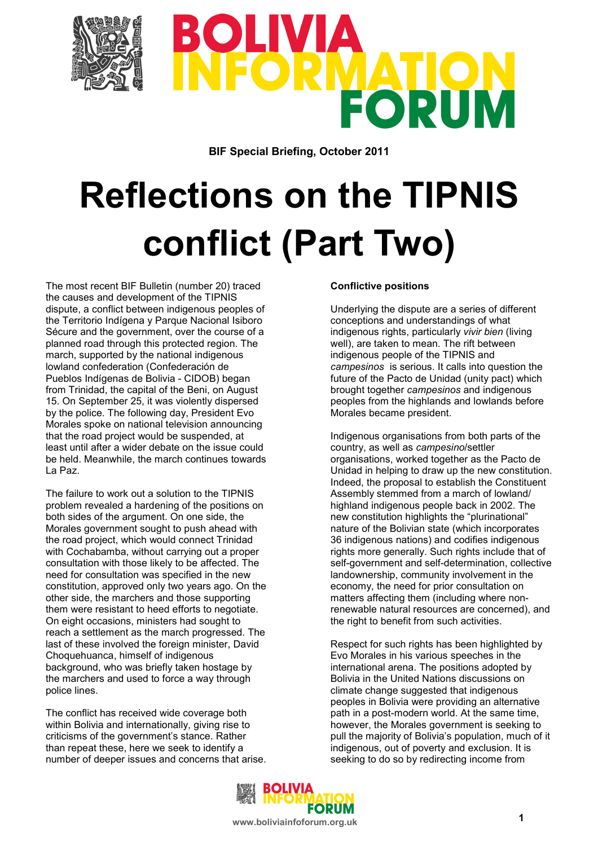



BIF Special Briefing, October 2011

# Reflections on the TIPNIS conflict (Part Two)

The most recent BIF Bulletin (number 20) traced the causes and development of the TIPNIS dispute, a conflict between indigenous peoples of the Territorio Indígena y Parque Nacional Isiboro Sécure and the government, over the course of a planned road through this protected region. The march, supported by the national indigenous lowland confederation (Confederación de Pueblos Indígenas de Bolivia - CIDOB) began from Trinidad, the capital of the Beni, on August 15. On September 25, it was violently dispersed by the police. The following day, President Evo Morales spoke on national television announcing that the road project would be suspended, at least until after a wider debate on the issue could be held. Meanwhile, the march continues towards La Paz.

The failure to work out a solution to the TIPNIS problem revealed a hardening of the positions on both sides of the argument. On one side, the Morales government sought to push ahead with the road project, which would connect Trinidad with Cochabamba, without carrying out a proper consultation with those likely to be affected. The need for consultation was specified in the new constitution, approved only two years ago. On the other side, the marchers and those supporting them were resistant to heed efforts to negotiate. On eight occasions, ministers had sought to reach a settlement as the march progressed. The last of these involved the foreign minister, David Choquehuanca, himself of indigenous background, who was briefly taken hostage by the marchers and used to force a way through police lines.

The conflict has received wide coverage both within Bolivia and internationally, giving rise to criticisms of the government's stance. Rather than repeat these, here we seek to identify a number of deeper issues and concerns that arise.

# Conflictive positions

Underlying the dispute are a series of different conceptions and understandings of what indigenous rights, particularly vivir bien (living well), are taken to mean. The rift between indigenous people of the TIPNIS and campesinos is serious. It calls into question the future of the Pacto de Unidad (unity pact) which brought together campesinos and indigenous peoples from the highlands and lowlands before Morales became president.

Indigenous organisations from both parts of the country, as well as campesino/settler organisations, worked together as the Pacto de Unidad in helping to draw up the new constitution. Indeed, the proposal to establish the Constituent Assembly stemmed from a march of lowland/ highland indigenous people back in 2002. The new constitution highlights the "plurinational" nature of the Bolivian state (which incorporates 36 indigenous nations) and codifies indigenous rights more generally. Such rights include that of self-government and self-determination, collective landownership, community involvement in the economy, the need for prior consultation on matters affecting them (including where nonrenewable natural resources are concerned), and the right to benefit from such activities.

Respect for such rights has been highlighted by Evo Morales in his various speeches in the international arena. The positions adopted by Bolivia in the United Nations discussions on climate change suggested that indigenous peoples in Bolivia were providing an alternative path in a post-modern world. At the same time, however, the Morales government is seeking to pull the majority of Bolivia's population, much of it indigenous, out of poverty and exclusion. It is seeking to do so by redirecting income from

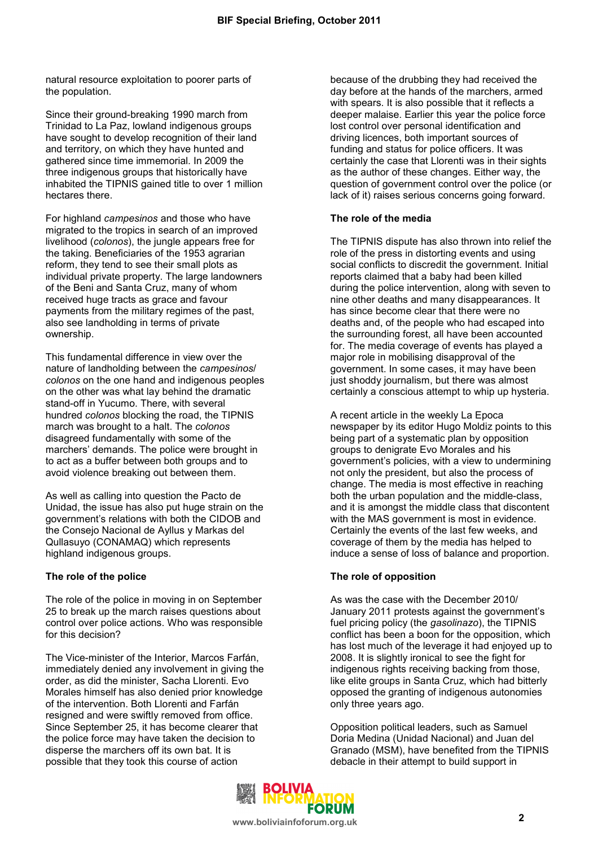natural resource exploitation to poorer parts of the population.

Since their ground-breaking 1990 march from Trinidad to La Paz, lowland indigenous groups have sought to develop recognition of their land and territory, on which they have hunted and gathered since time immemorial. In 2009 the three indigenous groups that historically have inhabited the TIPNIS gained title to over 1 million hectares there.

For highland campesinos and those who have migrated to the tropics in search of an improved livelihood (colonos), the jungle appears free for the taking. Beneficiaries of the 1953 agrarian reform, they tend to see their small plots as individual private property. The large landowners of the Beni and Santa Cruz, many of whom received huge tracts as grace and favour payments from the military regimes of the past, also see landholding in terms of private ownership.

This fundamental difference in view over the nature of landholding between the campesinos/ colonos on the one hand and indigenous peoples on the other was what lay behind the dramatic stand-off in Yucumo. There, with several hundred colonos blocking the road, the TIPNIS march was brought to a halt. The colonos disagreed fundamentally with some of the marchers' demands. The police were brought in to act as a buffer between both groups and to avoid violence breaking out between them.

As well as calling into question the Pacto de Unidad, the issue has also put huge strain on the government's relations with both the CIDOB and the Consejo Nacional de Ayllus y Markas del Qullasuyo (CONAMAQ) which represents highland indigenous groups.

# The role of the police

The role of the police in moving in on September 25 to break up the march raises questions about control over police actions. Who was responsible for this decision?

The Vice-minister of the Interior, Marcos Farfán, immediately denied any involvement in giving the order, as did the minister, Sacha Llorenti. Evo Morales himself has also denied prior knowledge of the intervention. Both Llorenti and Farfán resigned and were swiftly removed from office. Since September 25, it has become clearer that the police force may have taken the decision to disperse the marchers off its own bat. It is possible that they took this course of action

because of the drubbing they had received the day before at the hands of the marchers, armed with spears. It is also possible that it reflects a deeper malaise. Earlier this year the police force lost control over personal identification and driving licences, both important sources of funding and status for police officers. It was certainly the case that Llorenti was in their sights as the author of these changes. Either way, the question of government control over the police (or lack of it) raises serious concerns going forward.

### The role of the media

The TIPNIS dispute has also thrown into relief the role of the press in distorting events and using social conflicts to discredit the government. Initial reports claimed that a baby had been killed during the police intervention, along with seven to nine other deaths and many disappearances. It has since become clear that there were no deaths and, of the people who had escaped into the surrounding forest, all have been accounted for. The media coverage of events has played a major role in mobilising disapproval of the government. In some cases, it may have been just shoddy journalism, but there was almost certainly a conscious attempt to whip up hysteria.

A recent article in the weekly La Epoca newspaper by its editor Hugo Moldiz points to this being part of a systematic plan by opposition groups to denigrate Evo Morales and his government's policies, with a view to undermining not only the president, but also the process of change. The media is most effective in reaching both the urban population and the middle-class, and it is amongst the middle class that discontent with the MAS government is most in evidence. Certainly the events of the last few weeks, and coverage of them by the media has helped to induce a sense of loss of balance and proportion.

# The role of opposition

As was the case with the December 2010/ January 2011 protests against the government's fuel pricing policy (the *gasolinazo*), the TIPNIS conflict has been a boon for the opposition, which has lost much of the leverage it had enjoyed up to 2008. It is slightly ironical to see the fight for indigenous rights receiving backing from those, like elite groups in Santa Cruz, which had bitterly opposed the granting of indigenous autonomies only three years ago.

Opposition political leaders, such as Samuel Doria Medina (Unidad Nacional) and Juan del Granado (MSM), have benefited from the TIPNIS debacle in their attempt to build support in